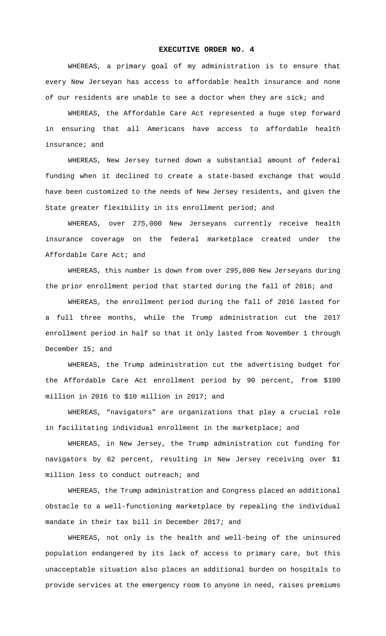## **EXECUTIVE ORDER NO. 4**

WHEREAS, a primary goal of my administration is to ensure that every New Jerseyan has access to affordable health insurance and none of our residents are unable to see a doctor when they are sick; and

WHEREAS, the Affordable Care Act represented a huge step forward in ensuring that all Americans have access to affordable health insurance; and

WHEREAS, New Jersey turned down a substantial amount of federal funding when it declined to create a state-based exchange that would have been customized to the needs of New Jersey residents, and given the State greater flexibility in its enrollment period; and

WHEREAS, over 275,000 New Jerseyans currently receive health insurance coverage on the federal marketplace created under the Affordable Care Act; and

WHEREAS, this number is down from over 295,000 New Jerseyans during the prior enrollment period that started during the fall of 2016; and

WHEREAS, the enrollment period during the fall of 2016 lasted for a full three months, while the Trump administration cut the 2017 enrollment period in half so that it only lasted from November 1 through December 15; and

WHEREAS, the Trump administration cut the advertising budget for the Affordable Care Act enrollment period by 90 percent, from \$100 million in 2016 to \$10 million in 2017; and

WHEREAS, "navigators" are organizations that play a crucial role in facilitating individual enrollment in the marketplace; and

WHEREAS, in New Jersey, the Trump administration cut funding for navigators by 62 percent, resulting in New Jersey receiving over \$1 million less to conduct outreach; and

WHEREAS, the Trump administration and Congress placed an additional obstacle to a well-functioning marketplace by repealing the individual mandate in their tax bill in December 2017; and

WHEREAS, not only is the health and well-being of the uninsured population endangered by its lack of access to primary care, but this unacceptable situation also places an additional burden on hospitals to provide services at the emergency room to anyone in need, raises premiums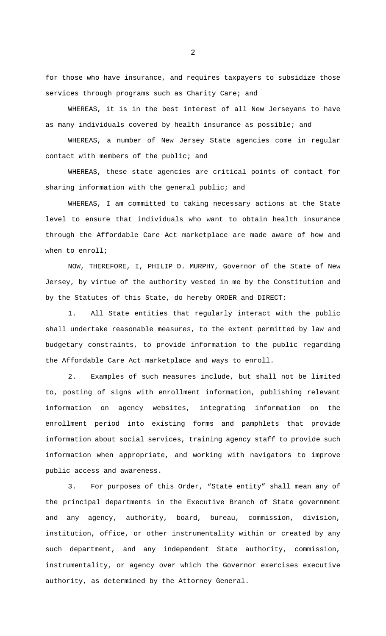for those who have insurance, and requires taxpayers to subsidize those services through programs such as Charity Care; and

WHEREAS, it is in the best interest of all New Jerseyans to have as many individuals covered by health insurance as possible; and

WHEREAS, a number of New Jersey State agencies come in regular contact with members of the public; and

WHEREAS, these state agencies are critical points of contact for sharing information with the general public; and

WHEREAS, I am committed to taking necessary actions at the State level to ensure that individuals who want to obtain health insurance through the Affordable Care Act marketplace are made aware of how and when to enroll;

NOW, THEREFORE, I, PHILIP D. MURPHY, Governor of the State of New Jersey, by virtue of the authority vested in me by the Constitution and by the Statutes of this State, do hereby ORDER and DIRECT:

1. All State entities that regularly interact with the public shall undertake reasonable measures, to the extent permitted by law and budgetary constraints, to provide information to the public regarding the Affordable Care Act marketplace and ways to enroll.

2. Examples of such measures include, but shall not be limited to, posting of signs with enrollment information, publishing relevant information on agency websites, integrating information on the enrollment period into existing forms and pamphlets that provide information about social services, training agency staff to provide such information when appropriate, and working with navigators to improve public access and awareness.

3. For purposes of this Order, "State entity" shall mean any of the principal departments in the Executive Branch of State government and any agency, authority, board, bureau, commission, division, institution, office, or other instrumentality within or created by any such department, and any independent State authority, commission, instrumentality, or agency over which the Governor exercises executive authority, as determined by the Attorney General.

2